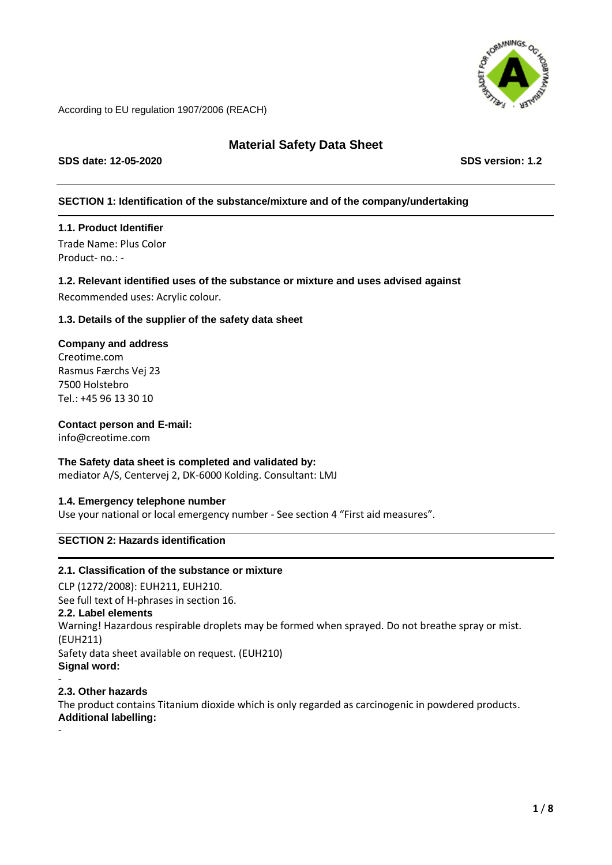

# **Material Safety Data Sheet**

**SDS date: 12-05-2020 SDS version: 1.2**

# **SECTION 1: Identification of the substance/mixture and of the company/undertaking**

# **1.1. Product Identifier**

Trade Name: Plus Color Product- no.: -

### **1.2. Relevant identified uses of the substance or mixture and uses advised against**

Recommended uses: Acrylic colour.

### **1.3. Details of the supplier of the safety data sheet**

# **Company and address**

Creotime.com Rasmus Færchs Vej 23 7500 Holstebro Tel.: +45 96 13 30 10

# **Contact person and E-mail:**

info@creotime.com

# **The Safety data sheet is completed and validated by:**

mediator A/S, Centervej 2, DK-6000 Kolding. Consultant: LMJ

### **1.4. Emergency telephone number**

Use your national or local emergency number - See section 4 "First aid measures".

# **SECTION 2: Hazards identification**

### **2.1. Classification of the substance or mixture**

CLP (1272/2008): EUH211, EUH210. See full text of H-phrases in section 16. **2.2. Label elements** Warning! Hazardous respirable droplets may be formed when sprayed. Do not breathe spray or mist. (EUH211) Safety data sheet available on request. (EUH210) **Signal word:** -

# **2.3. Other hazards**

-

The product contains Titanium dioxide which is only regarded as carcinogenic in powdered products. **Additional labelling:**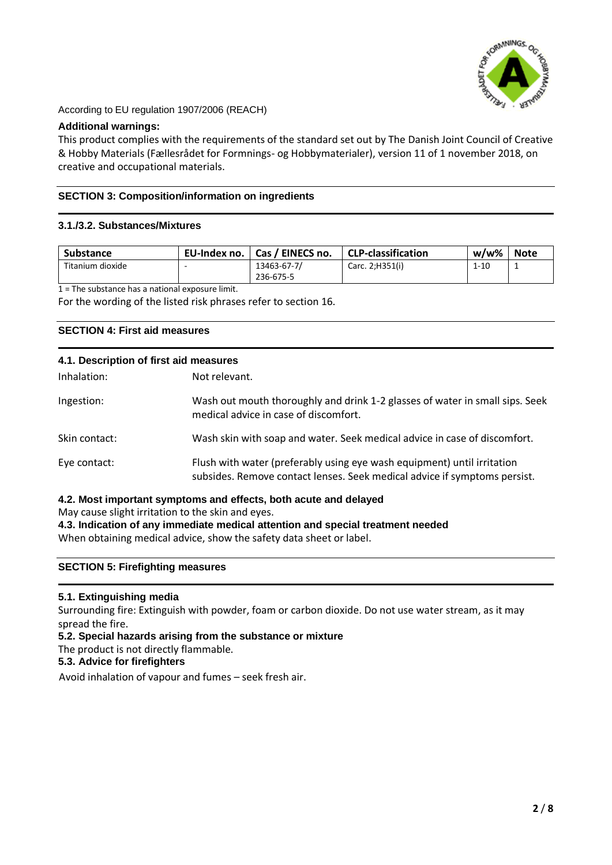

#### **Additional warnings:**

This product complies with the requirements of the standard set out by The Danish Joint Council of Creative & Hobby Materials (Fællesrådet for Formnings- og Hobbymaterialer), version 11 of 1 november 2018, on creative and occupational materials.

### **SECTION 3: Composition/information on ingredients**

### **3.1./3.2. Substances/Mixtures**

| <b>Substance</b> | EU-Index no. | Cas / EINECS no. | <b>CLP-classification</b> | w/w%     | <b>Note</b> |
|------------------|--------------|------------------|---------------------------|----------|-------------|
| Titanium dioxide |              | 13463-67-7/      | Carc. 2; H351(i)          | $1 - 10$ |             |
|                  |              | 236-675-5        |                           |          |             |

 $1 =$ The substance has a national exposure limit.

For the wording of the listed risk phrases refer to section 16.

### **SECTION 4: First aid measures**

| 4.1. Description of first aid measures |                                                                                                                                                      |  |  |
|----------------------------------------|------------------------------------------------------------------------------------------------------------------------------------------------------|--|--|
| Inhalation:                            | Not relevant.                                                                                                                                        |  |  |
| Ingestion:                             | Wash out mouth thoroughly and drink 1-2 glasses of water in small sips. Seek<br>medical advice in case of discomfort.                                |  |  |
| Skin contact:                          | Wash skin with soap and water. Seek medical advice in case of discomfort.                                                                            |  |  |
| Eye contact:                           | Flush with water (preferably using eye wash equipment) until irritation<br>subsides. Remove contact lenses. Seek medical advice if symptoms persist. |  |  |

### **4.2. Most important symptoms and effects, both acute and delayed**

May cause slight irritation to the skin and eyes.

**4.3. Indication of any immediate medical attention and special treatment needed**

When obtaining medical advice, show the safety data sheet or label.

### **SECTION 5: Firefighting measures**

### **5.1. Extinguishing media**

Surrounding fire: Extinguish with powder, foam or carbon dioxide. Do not use water stream, as it may spread the fire.

**5.2. Special hazards arising from the substance or mixture**

The product is not directly flammable.

# **5.3. Advice for firefighters**

Avoid inhalation of vapour and fumes – seek fresh air.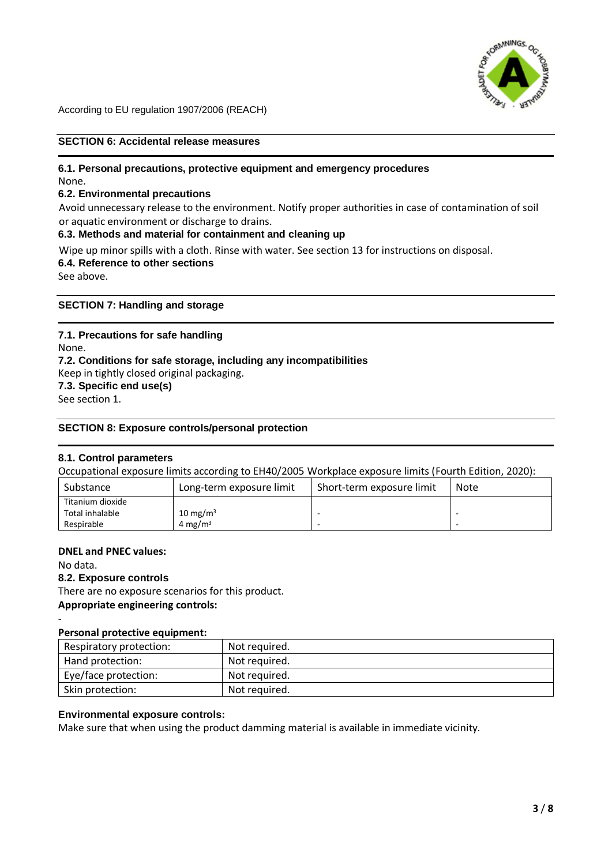

# **SECTION 6: Accidental release measures**

#### **6.1. Personal precautions, protective equipment and emergency procedures** None.

# **6.2. Environmental precautions**

Avoid unnecessary release to the environment. Notify proper authorities in case of contamination of soil or aquatic environment or discharge to drains.

# **6.3. Methods and material for containment and cleaning up**

Wipe up minor spills with a cloth. Rinse with water. See section 13 for instructions on disposal. **6.4. Reference to other sections**

See above.

**SECTION 7: Handling and storage**

# **7.1. Precautions for safe handling**

None. **7.2. Conditions for safe storage, including any incompatibilities** Keep in tightly closed original packaging. **7.3. Specific end use(s)** See section 1.

### **SECTION 8: Exposure controls/personal protection**

### **8.1. Control parameters**

Occupational exposure limits according to EH40/2005 Workplace exposure limits (Fourth Edition, 2020):

| Substance        | Long-term exposure limit | Short-term exposure limit | Note |
|------------------|--------------------------|---------------------------|------|
| Titanium dioxide |                          |                           |      |
| Total inhalable  | 10 mg/m $3$              |                           |      |
| Respirable       | 4 mg/m <sup>3</sup>      |                           |      |

### **DNEL and PNEC values:**

No data. **8.2. Exposure controls** There are no exposure scenarios for this product.

### **Appropriate engineering controls:** -

#### **Personal protective equipment:**

| Respiratory protection: | Not required. |
|-------------------------|---------------|
| Hand protection:        | Not required. |
| Eye/face protection:    | Not required. |
| Skin protection:        | Not required. |

### **Environmental exposure controls:**

Make sure that when using the product damming material is available in immediate vicinity.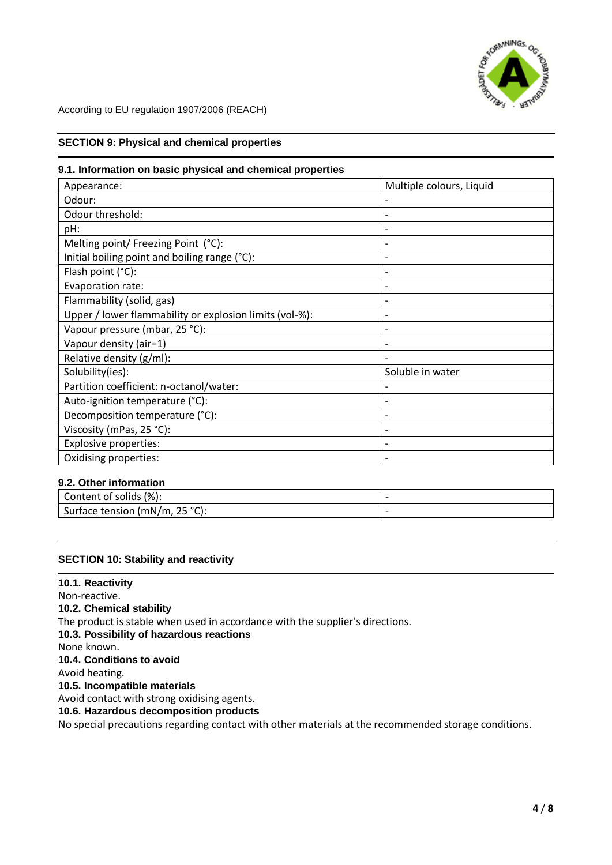

### **SECTION 9: Physical and chemical properties**

#### **9.1. Information on basic physical and chemical properties**

| Appearance:                                             | Multiple colours, Liquid |
|---------------------------------------------------------|--------------------------|
| Odour:                                                  |                          |
| Odour threshold:                                        |                          |
| pH:                                                     |                          |
| Melting point/ Freezing Point (°C):                     |                          |
| Initial boiling point and boiling range (°C):           |                          |
| Flash point (°C):                                       | $\overline{\phantom{0}}$ |
| Evaporation rate:                                       | $\overline{\phantom{0}}$ |
| Flammability (solid, gas)                               |                          |
| Upper / lower flammability or explosion limits (vol-%): |                          |
| Vapour pressure (mbar, 25 °C):                          |                          |
| Vapour density (air=1)                                  |                          |
| Relative density (g/ml):                                |                          |
| Solubility(ies):                                        | Soluble in water         |
| Partition coefficient: n-octanol/water:                 |                          |
| Auto-ignition temperature (°C):                         |                          |
| Decomposition temperature (°C):                         |                          |
| Viscosity (mPas, 25 °C):                                |                          |
| <b>Explosive properties:</b>                            |                          |
| Oxidising properties:                                   |                          |

### **9.2. Other information**

| (%):<br>Content of solids /    |  |
|--------------------------------|--|
| Surface tension (mN/m, 25 °C): |  |

### **SECTION 10: Stability and reactivity**

**10.1. Reactivity**  Non-reactive. **10.2. Chemical stability** The product is stable when used in accordance with the supplier's directions. **10.3. Possibility of hazardous reactions** None known. **10.4. Conditions to avoid** Avoid heating. **10.5. Incompatible materials** Avoid contact with strong oxidising agents. **10.6. Hazardous decomposition products** No special precautions regarding contact with other materials at the recommended storage conditions.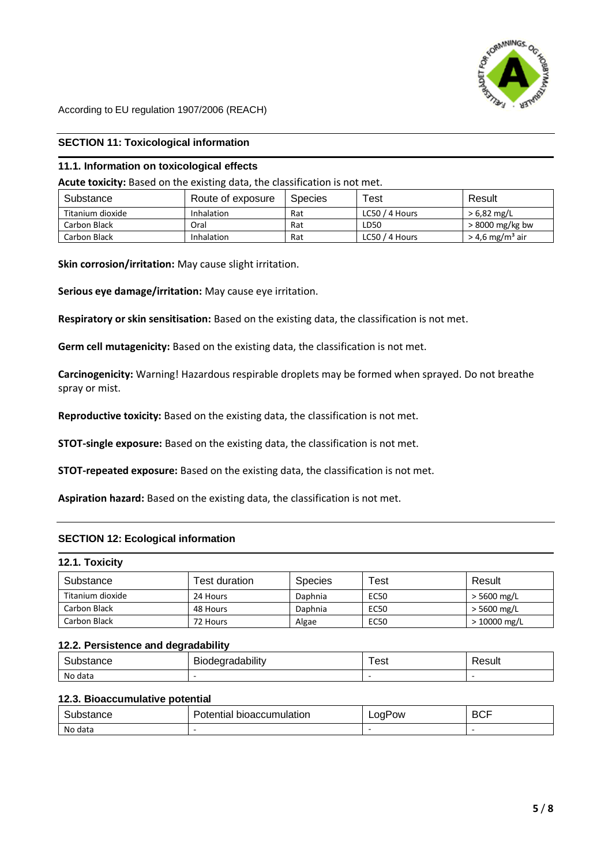

### **SECTION 11: Toxicological information**

#### **11.1. Information on toxicological effects**

**Acute toxicity:** Based on the existing data, the classification is not met.

| Substance        | Route of exposure | <b>Species</b> | $\tau_{\mathsf{est}}$ | Result                        |
|------------------|-------------------|----------------|-----------------------|-------------------------------|
| Titanium dioxide | Inhalation        | Rat            | LC50 / 4 Hours        | $> 6.82$ mg/L                 |
| Carbon Black     | Oral              | Rat            | LD50                  | $>8000$ mg/kg bw              |
| Carbon Black     | <b>Inhalation</b> | Rat            | LC50 / 4 Hours        | $>$ 4,6 mg/m <sup>3</sup> air |

**Skin corrosion/irritation:** May cause slight irritation.

**Serious eye damage/irritation:** May cause eye irritation.

**Respiratory or skin sensitisation:** Based on the existing data, the classification is not met.

**Germ cell mutagenicity:** Based on the existing data, the classification is not met.

**Carcinogenicity:** Warning! Hazardous respirable droplets may be formed when sprayed. Do not breathe spray or mist.

**Reproductive toxicity:** Based on the existing data, the classification is not met.

**STOT-single exposure:** Based on the existing data, the classification is not met.

**STOT-repeated exposure:** Based on the existing data, the classification is not met.

**Aspiration hazard:** Based on the existing data, the classification is not met.

#### **SECTION 12: Ecological information**

#### **12.1. Toxicity**

| Substance        | Test duration. | <b>Species</b> | Test        | Result       |
|------------------|----------------|----------------|-------------|--------------|
| Titanium dioxide | 24 Hours       | Daphnia        | <b>EC50</b> | > 5600 mg/L  |
| Carbon Black     | 48 Hours       | Daphnia        | <b>EC50</b> | > 5600 mg/L  |
| Carbon Black     | 72 Hours       | Algae          | <b>EC50</b> | > 10000 mg/L |

#### **12.2. Persistence and degradability**

| -<br>ance. | <br>ıdabılıtv<br>יי | est | 'esuli |
|------------|---------------------|-----|--------|
| No data    |                     |     |        |

#### **12.3. Bioaccumulative potential**

| 11 J H<br>.     | 121<br>UOL.<br>וור<br>. | 'ow<br>__ | ___ |
|-----------------|-------------------------|-----------|-----|
| No data<br>uata | -                       |           |     |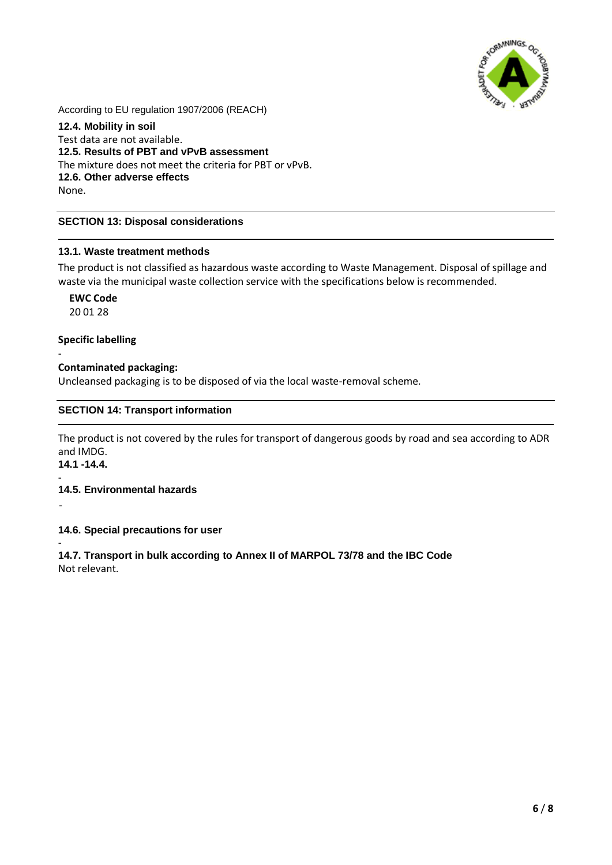

**12.4. Mobility in soil**  Test data are not available. **12.5. Results of PBT and vPvB assessment** The mixture does not meet the criteria for PBT or vPvB. **12.6. Other adverse effects** None.

### **SECTION 13: Disposal considerations**

### **13.1. Waste treatment methods**

The product is not classified as hazardous waste according to Waste Management. Disposal of spillage and waste via the municipal waste collection service with the specifications below is recommended.

**EWC Code**  20 01 28

### **Specific labelling**

### **Contaminated packaging:**

Uncleansed packaging is to be disposed of via the local waste-removal scheme.

### **SECTION 14: Transport information**

The product is not covered by the rules for transport of dangerous goods by road and sea according to ADR and IMDG. **14.1 -14.4.** 

-

### **14.5. Environmental hazards**

-

-

**14.6. Special precautions for user**

- **14.7. Transport in bulk according to Annex II of MARPOL 73/78 and the IBC Code** Not relevant.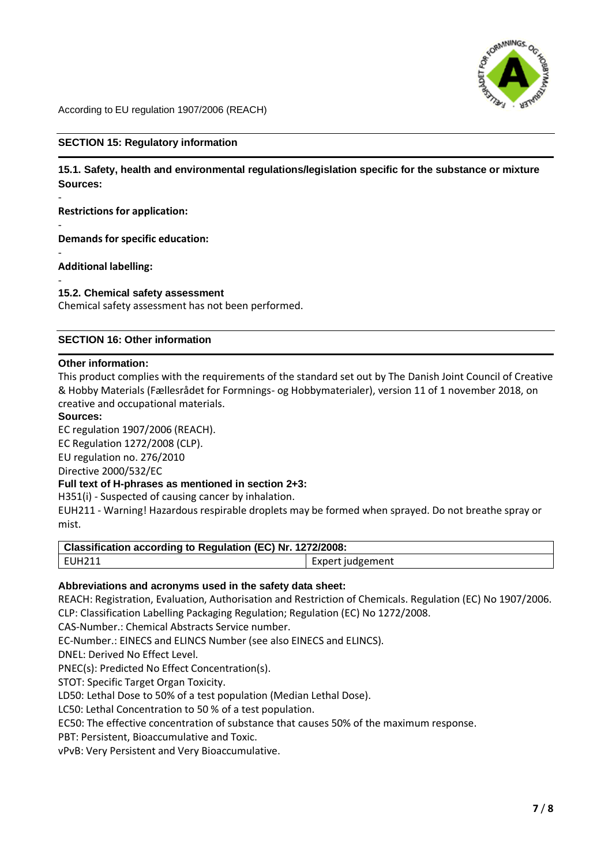

#### **SECTION 15: Regulatory information**

**15.1. Safety, health and environmental regulations/legislation specific for the substance or mixture Sources:**

**Restrictions for application:**

- **Demands for specific education:**

**Additional labelling:**

-

-

- **15.2. Chemical safety assessment**

Chemical safety assessment has not been performed.

#### **SECTION 16: Other information**

#### **Other information:**

This product complies with the requirements of the standard set out by The Danish Joint Council of Creative & Hobby Materials (Fællesrådet for Formnings- og Hobbymaterialer), version 11 of 1 november 2018, on creative and occupational materials.

#### **Sources:**

EC regulation 1907/2006 (REACH). EC Regulation 1272/2008 (CLP). EU regulation no. 276/2010 Directive 2000/532/EC

### **Full text of H-phrases as mentioned in section 2+3:**

H351(i) - Suspected of causing cancer by inhalation.

EUH211 - Warning! Hazardous respirable droplets may be formed when sprayed. Do not breathe spray or mist.

| Classification according to Regulation (EC) Nr. 1272/2008: |                  |  |
|------------------------------------------------------------|------------------|--|
| 1 EUH211                                                   | Expert judgement |  |

### **Abbreviations and acronyms used in the safety data sheet:**

REACH: Registration, Evaluation, Authorisation and Restriction of Chemicals. Regulation (EC) No 1907/2006. CLP: Classification Labelling Packaging Regulation; Regulation (EC) No 1272/2008.

CAS-Number.: Chemical Abstracts Service number.

EC-Number.: EINECS and ELINCS Number (see also EINECS and ELINCS).

DNEL: Derived No Effect Level.

PNEC(s): Predicted No Effect Concentration(s).

STOT: Specific Target Organ Toxicity.

LD50: Lethal Dose to 50% of a test population (Median Lethal Dose).

LC50: Lethal Concentration to 50 % of a test population.

EC50: The effective concentration of substance that causes 50% of the maximum response.

PBT: Persistent, Bioaccumulative and Toxic.

vPvB: Very Persistent and Very Bioaccumulative.